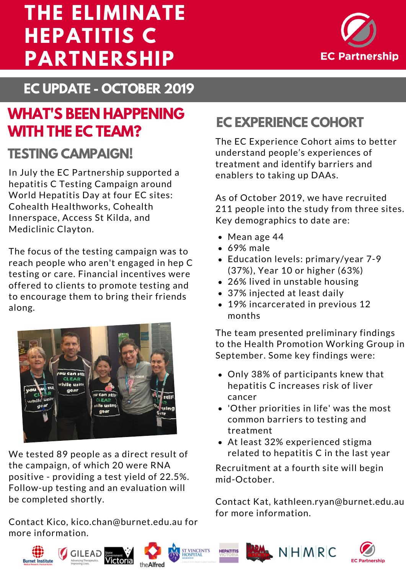## **EC PARTNERSHIP THE ELIMINATE HEPATITIS C PARTNERSHIP**



**EC UPDATE - OCTOBER 2019**

## **WHAT'S BEEN HAPPENING WITH THE EC TEAM?**

#### **TESTING CAMPAIGN!**

In July the EC Partnership supported a hepatitis C Testing Campaign around World Hepatitis Day at four EC sites: Cohealth Healthworks, Cohealth Innerspace, Access St Kilda, and Mediclinic Clayton.

The focus of the testing campaign was to reach people who aren't engaged in hep C testing or care. Financial incentives were offered to clients to promote testing and to encourage them to bring their friends along.



We tested 89 people as a direct result of the campaign, of which 20 were RNA positive - providing a test yield of 22.5%. Follow-up testing and an evaluation will be completed shortly.

Contact Kico, kico.chan@burnet.edu.au for more information.

#### **EC EXPERIENCE COHORT**

The EC Experience Cohort aims to better understand people's experiences of treatment and identify barriers and enablers to taking up DAAs.

As of October 2019, we have recruited 211 people into the study from three sites. Key demographics to date are:

- Mean age 44
- 69% male
- Education levels: [primary/year](http://burnet.edu.au/events) 7-9 (37%), Year 10 or higher (63%)
- 26% lived in unstable housing
- 37% injected at least daily
- 19% incarcerated in previous 12 months

The team presented preliminary findings to the Health Promotion Working Group in September. Some key findings were:

- Only 38% of participants knew that hepatitis C increases risk of liver cancer
- 'Other priorities in life' was the most common barriers to testing and treatment
- At least 32% [experienced](http://burnet.edu.au/events) stigma related to hepatitis C in the last year

Recruitment at a fourth site will begin mid-October.

Contact Kat, kathleen.ryan@burnet.edu.au for more information.



**Burnet Institute** 









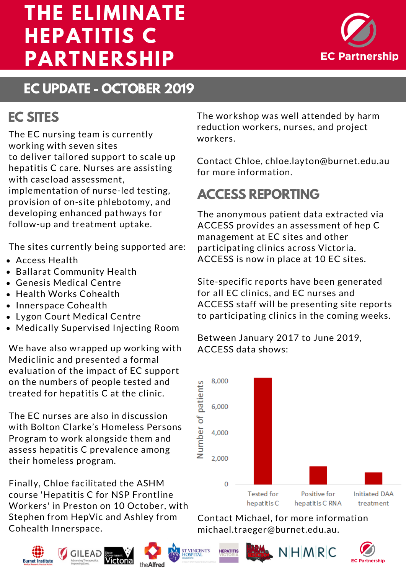## **EC PARTNERSHIP THE ELIMINATE HEPATITIS C PARTNERSHIP**



## **EC UPDATE - OCTOBER 2019**

#### **EC SITES**

The EC nursing team is currently working with seven sites to deliver tailored support to scale up hepatitis C care. Nurses are assisting with caseload assessment, implementation of nurse-led testing, provision of on-site phlebotomy, and developing enhanced pathways for follow-up and treatment uptake.

The sites currently being supported are:

- Access Health
- Ballarat [Community](http://burnet.edu.au/events) Health
- Genesis Medical Centre
- Health Works Cohealth
- Innerspace Cohealth
- Lygon Court Medical Centre
- Medically Supervised Injecting Room

We have also wrapped up working with Mediclinic and presented <sup>a</sup> formal evaluation of the impact of EC support on the numbers of people tested and treated for hepatitis C at the clinic.

The EC nurses are also in discussion with Bolton Clarke's Homeless Persons Program to work alongside them and assess hepatitis C prevalence among their homeless program.

Finally, Chloe facilitated the ASHM course 'Hepatitis C for NSP Frontline Workers' in Preston on 10 October, with Stephen from HepVic and Ashley from Cohealth Innerspace.







The workshop was well attended by harm reduction workers, nurses, and project workers.

Contact Chloe, [chloe.layton@burnet.edu.au](http://burnet.edu.au/events) for more information.

# **ACCESS REPORTING**

The anonymous patient data extracted via ACCESS provides an assessment of hep C management at EC sites and other participating clinics across Victoria. ACCESS is now in place at 10 EC sites.

Site-specific reports have been generated for all EC clinics, and EC nurses and ACCESS staff will be presenting site reports to participating clinics in the coming weeks.

Between January 2017 to June 2019, ACCESS data shows:



Contact Michael, for more information michael.traeger@burnet.edu.au.





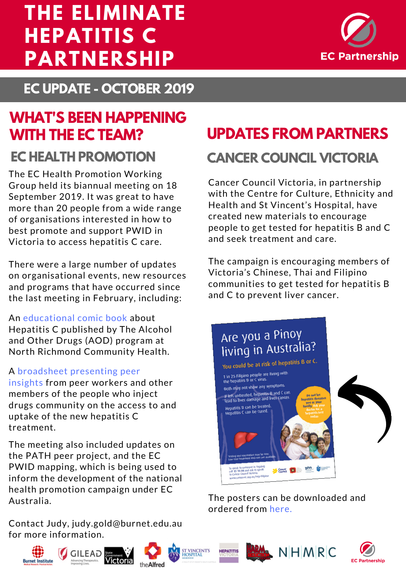## **EC PARTNERSHIP THE ELIMINATE HEPATITIS C PARTNERSHIP**



**EC UPDATE - OCTOBER 2019**

# **WHAT'S BEEN HAPPENING WITH THE EC TEAM?**

The EC Health Promotion Working Group held its biannual meeting on 18 September 2019. It was great to have more than 20 people from a wide range of organisations interested in how to best promote and support PWID in Victoria to access hepatitis C care.

There were a large number of updates on organisational events, new resources and programs that have occurred since the last meeting in February, including:

An [educational](https://nrch.com.au/xxx/) comic book about Hepatitis C published by The Alcohol and Other Drugs (AOD) program at North Richmond Community Health.

#### A [broadsheet](https://www.latrobe.edu.au/__data/assets/pdf_file/0017/1011905/ARCSHS-Peer-Insights-Hep-C-Treatment-Uptake-Broadsheet-2.pdf) presenting peer

insights from peer workers and other members of the people who inject drugs community on the access to and uptake of the new hepatitis C treatment.

The meeting also included updates on the PATH peer project, and the EC PWID mapping, which is being used to inform the development of the national health promotion campaign under EC Australia.

Contact Judy, judy.gold@burnet.edu.au for more information.



**EC HEALTH PROMOTION CANCER COUNCIL VICTORIA**

Cancer Council Victoria, in partnership with the Centre for Culture, Ethnicity and Health and St Vincent's Hospital, have created new materials to encourage people to get tested for hepatitis B and C and seek treatment and care.

The campaign is encouraging members of Victoria's Chinese, Thai and Filipino [communities](https://nwmphn.org.au/news/new-resources-help-address-hepatitis-liver-cancer-chinese-filipino-thai-communities/) to get tested for hepatitis B and C to prevent liver cancer.



The posters can be downloaded and ordered from here.













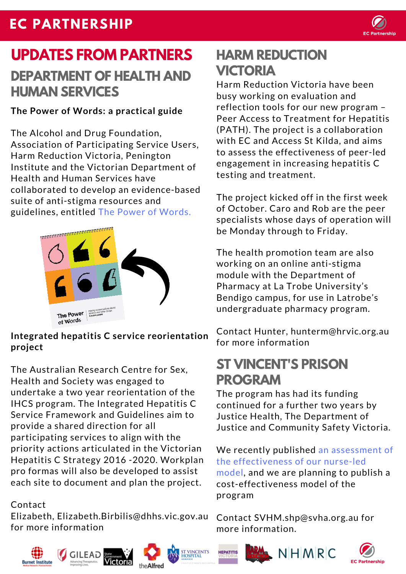#### **EC PARTNERSHIP**



# **UPDATES FROM PARTNERS DEPARTMENT OF HEALTH AND HUMAN SERVICES**

**The Power of Words: a practical guide**

The Alcohol and Drug Foundation, Association of Participating Service Users, Harm Reduction Victoria, Penington Institute and the Victorian Department of Health and Human Services have collaborated to develop an evidence-based suite of anti-stigma resources and guidelines, entitled The Power of Words.



**Integrated hepatitis C service reorientation project**

The Australian Research Centre for Sex, Health and Society was engaged to undertake a two year reorientation of the IHCS program. The Integrated Hepatitis C Service Framework and Guidelines aim to provide a shared direction for all participating services to align with the priority actions articulated in the Victorian Hepatitis C Strategy 2016 -2020. Workplan pro formas will also be developed to assist each site to document and plan the project.

#### Contact

Elizabeth, [Elizabeth.Birbilis@dhhs.vic.gov.au](https://adf.org.au/resources/power-words/) for more information

















#### **HARM REDUCTION VICTORIA**

Harm Reduction Victoria have been busy working on evaluation and reflection tools for our new program – Peer Access to Treatment for Hepatitis (PATH). The project is a collaboration with EC and Access St Kilda, and aims to assess the effectiveness of peer-led engagement in increasing hepatitis C testing and treatment.

The project kicked off in the first week of October. Caro and Rob are the peer specialists whose days of operation will be Monday through to Friday.

The health promotion team are also working on an online anti-stigma module with the Department of Pharmacy at La Trobe University's Bendigo campus, for use in Latrobe's undergraduate pharmacy program.

Contact Hunter, hunterm@hrvic.org.au for more information

#### **ST VINCENT'S PRISON PROGRAM**

The program has had its funding continued for a further two years by Justice Health, The Department of Justice and Community Safety Victoria.

We recently published an assessment of the effectiveness of our nurse-led model, and we are planning to publish a cost-effectiveness model of the program

Contact [SVHM.shp@svha.org.au](https://www.ncbi.nlm.nih.gov/pubmed/30654067) for more information.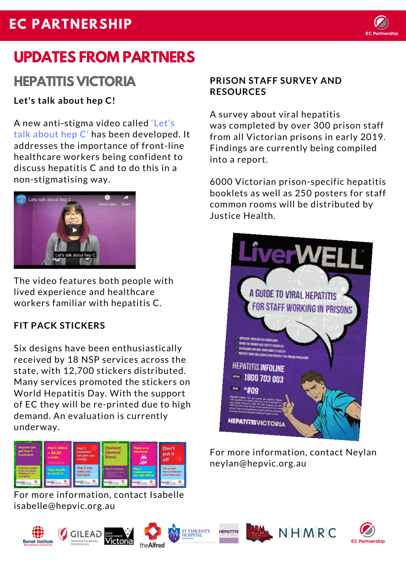## **EC PARTNERSHIP**



# **UPDATES FROM PARTNERS**

#### **HEPATITIS VICTORIA**

#### **Let's talk about hep C!**

A new anti-stigma video called 'Let's talk about hep C' has been developed. It addresses the importance of front-line healthcare workers being confident to discuss hepatitis C and to do this in a [non-stigmatising](https://www.youtube.com/watch?v=pB4a8LLFjP0&feature=youtu.be) way.



The video features both people with lived experience and healthcare workers familiar with hepatitis C.

#### **FIT PACK STICKERS**

Six designs have been enthusiastically received by 18 NSP services across the state, with 12,700 stickers distributed. Many services promoted the stickers on World Hepatitis Day. With the support of EC they will be re-printed due to high demand. An evaluation is currently underway.



For more information, contact Isabelle isabelle@hepvic.org.au

#### **PRISON STAFF SURVEY AND RESOURCES**

A survey about viral hepatitis was completed by over 300 prison staff from all Victorian prisons in early 2019. Findings are currently being compiled into a report.

6000 Victorian prison-specific hepatitis booklets as well as 250 posters for staff common rooms will be distributed by Justice Health.



For more information, contact Neylan neylan@hepvic.org.au